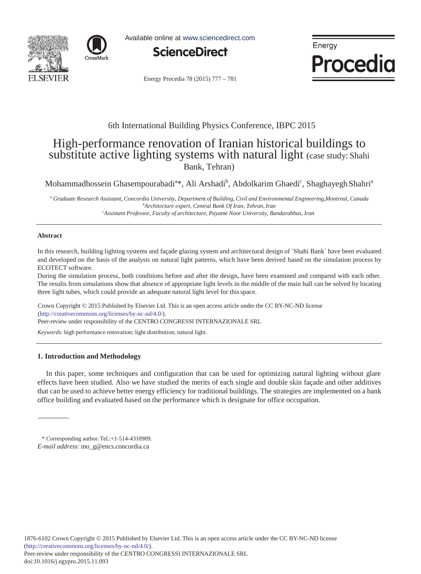



Available online at www.sciencedirect.com



Energy Procedia

Energy Procedia 78 (2015) 777 - 781

### 6th International Building Physics Conference, IBPC 2015

# High-performance renovation of Iranian historical buildings to substitute active lighting systems with natural light (case study: Shahi Bank, Tehran)

Mohammadhossein Ghasempourabadi<sup>a</sup>\*, Ali Arshadi<sup>b</sup>, Abdolkarim Ghaedi<sup>c</sup>, Shaghayegh Shahri<sup>a</sup>

*a Graduate Research Assistant, Concordia University, Department of Building, Civil and Environmental Engineering,Montreal, Canada b Architecture expert, Central Bank Of Iran, Tehran, Iran c Assistant Professor, Faculty of architecture, Payame Noor University, Bandarabbas, Iran*

#### **Abstract**

In this research, building lighting systems and façade glazing system and architectural design of `Shahi Bank` have been evaluated and developed on the basis of the analysis on natural light patterns, which have been derived based on the simulation process by ECOTECT software.

During the simulation process, both conditions before and after the design, have been examined and compared with each other. The results from simulations show that absence of appropriate light levels in the middle of the main hall can be solved by locating three light tubes, which could provide an adequate natural light level for this space.

Crown Copyright © 2015 Published by Elsevier Ltd. This is an open access article under the CC BY-NC-ND license Peer-review under responsibility of the CENTRO CONGRESSI INTERNAZIONALE SRL. Peer-review under responsibility of the CENTRO CONGRESSI INTERNAZIONALE SRL(http://creativecommons.org/licenses/by-nc-nd/4.0/).

*Keywords:* high performance renovation; light distribution; natural light.

#### **1. Introduction and Methodology**

In this paper, some techniques and configuration that can be used for optimizing natural lighting without glare effects have been studied. Also we have studied the merits of each single and double skin façade and other additives that can be used to achieve better energy efficiency for traditional buildings. The strategies are implemented on a bank office building and evaluated based on the performance which is designate for office occupation.

<sup>\*</sup> Corresponding author. Tel.:+1-514-4310909. *E-mail address:* mo\_g@encs.concordia.ca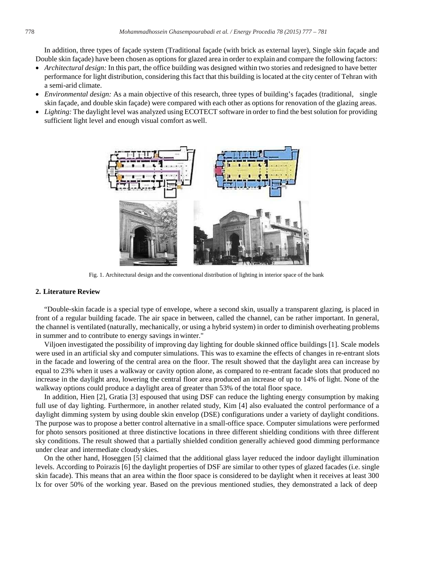In addition, three types of façade system (Traditional façade (with brick as external layer), Single skin façade and Double skin façade) have been chosen as options for glazed area in order to explain and compare the following factors:

- *Architectural design:* In this part, the office building was designed within two stories and redesigned to have better performance for light distribution, considering this fact that this building is located at the city center of Tehran with a semi-arid climate.
- *Environmental design:* As a main objective of this research, three types of building's façades (traditional, single skin façade, and double skin façade) were compared with each other as options for renovation of the glazing areas.
- *Lighting:* The daylight level was analyzed using ECOTECT software in order to find the best solution for providing sufficient light level and enough visual comfort aswell.



Fig. 1. Architectural design and the conventional distribution of lighting in interior space of the bank

#### **2. Literature Review**

"Double-skin facade is a special type of envelope, where a second skin, usually a transparent glazing, is placed in front of a regular building facade. The air space in between, called the channel, can be rather important. In general, the channel is ventilated (naturally, mechanically, or using a hybrid system) in order to diminish overheating problems in summer and to contribute to energy savings in winter."

Viljoen investigated the possibility of improving day lighting for double skinned office buildings [1]. Scale models were used in an artificial sky and computer simulations. This was to examine the effects of changes in re-entrant slots in the facade and lowering of the central area on the floor. The result showed that the daylight area can increase by equal to 23% when it uses a walkway or cavity option alone, as compared to re-entrant facade slots that produced no increase in the daylight area, lowering the central floor area produced an increase of up to 14% of light. None of the walkway options could produce a daylight area of greater than 53% of the total floor space.

In addition, Hien [2], Gratia [3] espoused that using DSF can reduce the lighting energy consumption by making full use of day lighting. Furthermore, in another related study, Kim [4] also evaluated the control performance of a daylight dimming system by using double skin envelop (DSE) configurations under a variety of daylight conditions. The purpose was to propose a better control alternative in a small-office space. Computer simulations were performed for photo sensors positioned at three distinctive locations in three different shielding conditions with three different sky conditions. The result showed that a partially shielded condition generally achieved good dimming performance under clear and intermediate cloudy skies.

On the other hand, Hoseggen [5] claimed that the additional glass layer reduced the indoor daylight illumination levels. According to Poirazis [6] the daylight properties of DSF are similar to other types of glazed facades (i.e. single skin facade). This means that an area within the floor space is considered to be daylight when it receives at least 300 lx for over 50% of the working year. Based on the previous mentioned studies, they demonstrated a lack of deep